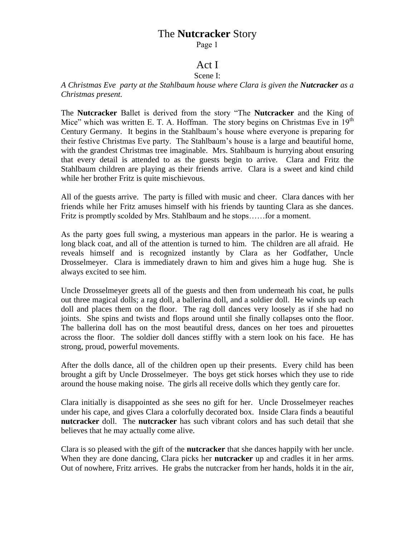# The **Nutcracker** Story

Page 1

### Act I Scene I:

*A Christmas Eve party at the Stahlbaum house where Clara is given the Nutcracker as a Christmas present.*

The **Nutcracker** Ballet is derived from the story "The **Nutcracker** and the King of Mice" which was written E. T. A. Hoffman. The story begins on Christmas Eve in  $19<sup>th</sup>$ Century Germany. It begins in the Stahlbaum's house where everyone is preparing for their festive Christmas Eve party. The Stahlbaum's house is a large and beautiful home, with the grandest Christmas tree imaginable. Mrs. Stahlbaum is hurrying about ensuring that every detail is attended to as the guests begin to arrive. Clara and Fritz the Stahlbaum children are playing as their friends arrive. Clara is a sweet and kind child while her brother Fritz is quite mischievous.

All of the guests arrive. The party is filled with music and cheer. Clara dances with her friends while her Fritz amuses himself with his friends by taunting Clara as she dances. Fritz is promptly scolded by Mrs. Stahlbaum and he stops……for a moment.

As the party goes full swing, a mysterious man appears in the parlor. He is wearing a long black coat, and all of the attention is turned to him. The children are all afraid. He reveals himself and is recognized instantly by Clara as her Godfather, Uncle Drosselmeyer. Clara is immediately drawn to him and gives him a huge hug. She is always excited to see him.

Uncle Drosselmeyer greets all of the guests and then from underneath his coat, he pulls out three magical dolls; a rag doll, a ballerina doll, and a soldier doll. He winds up each doll and places them on the floor. The rag doll dances very loosely as if she had no joints. She spins and twists and flops around until she finally collapses onto the floor. The ballerina doll has on the most beautiful dress, dances on her toes and pirouettes across the floor. The soldier doll dances stiffly with a stern look on his face. He has strong, proud, powerful movements.

After the dolls dance, all of the children open up their presents. Every child has been brought a gift by Uncle Drosselmeyer. The boys get stick horses which they use to ride around the house making noise. The girls all receive dolls which they gently care for.

Clara initially is disappointed as she sees no gift for her. Uncle Drosselmeyer reaches under his cape, and gives Clara a colorfully decorated box. Inside Clara finds a beautiful **nutcracker** doll. The **nutcracker** has such vibrant colors and has such detail that she believes that he may actually come alive.

Clara is so pleased with the gift of the **nutcracker** that she dances happily with her uncle. When they are done dancing, Clara picks her **nutcracker** up and cradles it in her arms. Out of nowhere, Fritz arrives. He grabs the nutcracker from her hands, holds it in the air,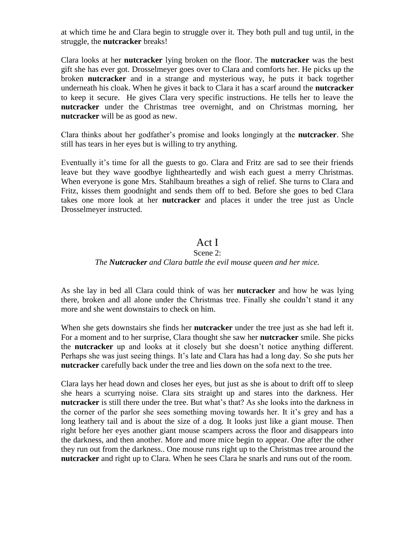at which time he and Clara begin to struggle over it. They both pull and tug until, in the struggle, the **nutcracker** breaks!

Clara looks at her **nutcracker** lying broken on the floor. The **nutcracker** was the best gift she has ever got. Drosselmeyer goes over to Clara and comforts her. He picks up the broken **nutcracker** and in a strange and mysterious way, he puts it back together underneath his cloak. When he gives it back to Clara it has a scarf around the **nutcracker** to keep it secure. He gives Clara very specific instructions. He tells her to leave the **nutcracker** under the Christmas tree overnight, and on Christmas morning, her **nutcracker** will be as good as new.

Clara thinks about her godfather's promise and looks longingly at the **nutcracker**. She still has tears in her eyes but is willing to try anything.

Eventually it's time for all the guests to go. Clara and Fritz are sad to see their friends leave but they wave goodbye lightheartedly and wish each guest a merry Christmas. When everyone is gone Mrs. Stahlbaum breathes a sigh of relief. She turns to Clara and Fritz, kisses them goodnight and sends them off to bed. Before she goes to bed Clara takes one more look at her **nutcracker** and places it under the tree just as Uncle Drosselmeyer instructed.

## Act I

## Scene 2:

### *The Nutcracker and Clara battle the evil mouse queen and her mice.*

As she lay in bed all Clara could think of was her **nutcracker** and how he was lying there, broken and all alone under the Christmas tree. Finally she couldn't stand it any more and she went downstairs to check on him.

When she gets downstairs she finds her **nutcracker** under the tree just as she had left it. For a moment and to her surprise, Clara thought she saw her **nutcracker** smile. She picks the **nutcracker** up and looks at it closely but she doesn't notice anything different. Perhaps she was just seeing things. It's late and Clara has had a long day. So she puts her **nutcracker** carefully back under the tree and lies down on the sofa next to the tree.

Clara lays her head down and closes her eyes, but just as she is about to drift off to sleep she hears a scurrying noise. Clara sits straight up and stares into the darkness. Her **nutcracker** is still there under the tree. But what's that? As she looks into the darkness in the corner of the parlor she sees something moving towards her. It it's grey and has a long leathery tail and is about the size of a dog. It looks just like a giant mouse. Then right before her eyes another giant mouse scampers across the floor and disappears into the darkness, and then another. More and more mice begin to appear. One after the other they run out from the darkness.. One mouse runs right up to the Christmas tree around the **nutcracker** and right up to Clara. When he sees Clara he snarls and runs out of the room.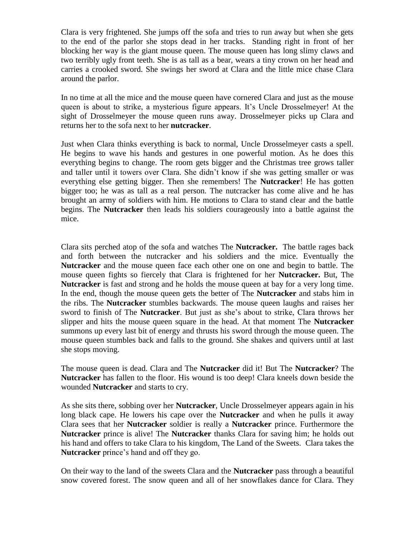Clara is very frightened. She jumps off the sofa and tries to run away but when she gets to the end of the parlor she stops dead in her tracks. Standing right in front of her blocking her way is the giant mouse queen. The mouse queen has long slimy claws and two terribly ugly front teeth. She is as tall as a bear, wears a tiny crown on her head and carries a crooked sword. She swings her sword at Clara and the little mice chase Clara around the parlor.

In no time at all the mice and the mouse queen have cornered Clara and just as the mouse queen is about to strike, a mysterious figure appears. It's Uncle Drosselmeyer! At the sight of Drosselmeyer the mouse queen runs away. Drosselmeyer picks up Clara and returns her to the sofa next to her **nutcracker**.

Just when Clara thinks everything is back to normal, Uncle Drosselmeyer casts a spell. He begins to wave his hands and gestures in one powerful motion. As he does this everything begins to change. The room gets bigger and the Christmas tree grows taller and taller until it towers over Clara. She didn't know if she was getting smaller or was everything else getting bigger. Then she remembers! The **Nutcracker**! He has gotten bigger too; he was as tall as a real person. The nutcracker has come alive and he has brought an army of soldiers with him. He motions to Clara to stand clear and the battle begins. The **Nutcracker** then leads his soldiers courageously into a battle against the mice.

Clara sits perched atop of the sofa and watches The **Nutcracker.** The battle rages back and forth between the nutcracker and his soldiers and the mice. Eventually the **Nutcracker** and the mouse queen face each other one on one and begin to battle. The mouse queen fights so fiercely that Clara is frightened for her **Nutcracker.** But, The **Nutcracker** is fast and strong and he holds the mouse queen at bay for a very long time. In the end, though the mouse queen gets the better of The **Nutcracker** and stabs him in the ribs. The **Nutcracker** stumbles backwards. The mouse queen laughs and raises her sword to finish of The **Nutcracker**. But just as she's about to strike, Clara throws her slipper and hits the mouse queen square in the head. At that moment The **Nutcracker** summons up every last bit of energy and thrusts his sword through the mouse queen. The mouse queen stumbles back and falls to the ground. She shakes and quivers until at last she stops moving.

The mouse queen is dead. Clara and The **Nutcracker** did it! But The **Nutcracker**? The **Nutcracker** has fallen to the floor. His wound is too deep! Clara kneels down beside the wounded **Nutcracker** and starts to cry.

As she sits there, sobbing over her **Nutcracker**, Uncle Drosselmeyer appears again in his long black cape. He lowers his cape over the **Nutcracker** and when he pulls it away Clara sees that her **Nutcracker** soldier is really a **Nutcracker** prince. Furthermore the **Nutcracker** prince is alive! The **Nutcracker** thanks Clara for saving him; he holds out his hand and offers to take Clara to his kingdom, The Land of the Sweets. Clara takes the **Nutcracker** prince's hand and off they go.

On their way to the land of the sweets Clara and the **Nutcracker** pass through a beautiful snow covered forest. The snow queen and all of her snowflakes dance for Clara. They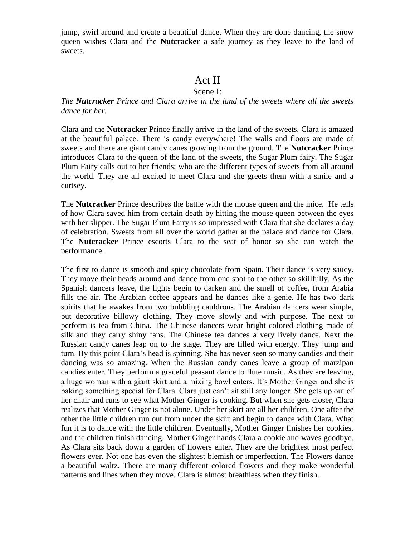jump, swirl around and create a beautiful dance. When they are done dancing, the snow queen wishes Clara and the **Nutcracker** a safe journey as they leave to the land of sweets.

## Act II

### Scene I:

*The Nutcracker Prince and Clara arrive in the land of the sweets where all the sweets dance for her.*

Clara and the **Nutcracker** Prince finally arrive in the land of the sweets. Clara is amazed at the beautiful palace. There is candy everywhere! The walls and floors are made of sweets and there are giant candy canes growing from the ground. The **Nutcracker** Prince introduces Clara to the queen of the land of the sweets, the Sugar Plum fairy. The Sugar Plum Fairy calls out to her friends; who are the different types of sweets from all around the world. They are all excited to meet Clara and she greets them with a smile and a curtsey.

The **Nutcracker** Prince describes the battle with the mouse queen and the mice. He tells of how Clara saved him from certain death by hitting the mouse queen between the eyes with her slipper. The Sugar Plum Fairy is so impressed with Clara that she declares a day of celebration. Sweets from all over the world gather at the palace and dance for Clara. The **Nutcracker** Prince escorts Clara to the seat of honor so she can watch the performance.

The first to dance is smooth and spicy chocolate from Spain. Their dance is very saucy. They move their heads around and dance from one spot to the other so skillfully. As the Spanish dancers leave, the lights begin to darken and the smell of coffee, from Arabia fills the air. The Arabian coffee appears and he dances like a genie. He has two dark spirits that he awakes from two bubbling cauldrons. The Arabian dancers wear simple, but decorative billowy clothing. They move slowly and with purpose. The next to perform is tea from China. The Chinese dancers wear bright colored clothing made of silk and they carry shiny fans. The Chinese tea dances a very lively dance. Next the Russian candy canes leap on to the stage. They are filled with energy. They jump and turn. By this point Clara's head is spinning. She has never seen so many candies and their dancing was so amazing. When the Russian candy canes leave a group of marzipan candies enter. They perform a graceful peasant dance to flute music. As they are leaving, a huge woman with a giant skirt and a mixing bowl enters. It's Mother Ginger and she is baking something special for Clara. Clara just can't sit still any longer. She gets up out of her chair and runs to see what Mother Ginger is cooking. But when she gets closer, Clara realizes that Mother Ginger is not alone. Under her skirt are all her children. One after the other the little children run out from under the skirt and begin to dance with Clara. What fun it is to dance with the little children. Eventually, Mother Ginger finishes her cookies, and the children finish dancing. Mother Ginger hands Clara a cookie and waves goodbye. As Clara sits back down a garden of flowers enter. They are the brightest most perfect flowers ever. Not one has even the slightest blemish or imperfection. The Flowers dance a beautiful waltz. There are many different colored flowers and they make wonderful patterns and lines when they move. Clara is almost breathless when they finish.